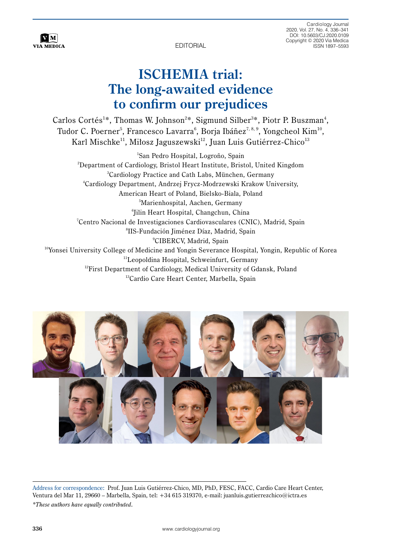EDITORIAL

CLINICAL CARDIOLOGY CARDIOLOGY

Cardiology Journal 2020, Vol. 27, No. 4, 336–341 DOI: 10.5603/CJ.2020.0109 Copyright © 2020 Via Medica ISSN 1897–5593

# **ISCHEMIA trial: The long-awaited evidence to confirm our prejudices**

Carlos Cortés<sup>1\*</sup>, Thomas W. Johnson<sup>2\*</sup>, Sigmund Silber<sup>3\*</sup>, Piotr P. Buszman<sup>4</sup>, Tudor C. Poerner<sup>5</sup>, Francesco Lavarra<sup>6</sup>, Borja Ibáñez<sup>7, 8, 9</sup>, Yongcheol Kim<sup>10</sup>, Karl Mischke<sup>11</sup>, Miłosz Jaguszewski<sup>12</sup>, Juan Luis Gutiérrez-Chico<sup>13</sup>

1 San Pedro Hospital, Logroño, Spain  $^{\rm 2}$ Department of Cardiology, Bristol Heart Institute, Bristol, United Kingdom 3 Cardiology Practice and Cath Labs, München, Germany 4 Cardiology Department, Andrzej Frycz-Modrzewski Krakow University, American Heart of Poland, Bielsko-Biala, Poland 5 Marienhospital, Aachen, Germany <sup>6</sup> Jilin Heart Hospital, Changchun, China °Jilin Heart Hospital, Changchun, China °<br>Centro Nacional de Investigaciones Cardiovasculares (CNIC), Madrid, Spain<sup>,</sup> 8 IIS-Fundación Jiménez Díaz, Madrid, Spain 9 CIBERCV, Madrid, Spain <sup>10</sup>Yonsei University College of Medicine and Yongin Severance Hospital, Yongin, Republic of Korea <sup>11</sup>Leopoldina Hospital, Schweinfurt, Germany <sup>12</sup>First Department of Cardiology, Medical University of Gdansk, Poland <sup>13</sup>Cardio Care Heart Center, Marbella, Spain



 $\bf{V}$  M **VIA MEDICA** 

Address for correspondence: Prof. Juan Luis Gutiérrez-Chico, MD, PhD, FESC, FACC, Cardio Care Heart Center, Ventura del Mar 11, 29660 – Marbella, Spain, tel: +34 615 319370, e-mail: [juanluis.gutierrezchico@ictra.es](mailto:juanluis.gutierrezchico@ictra.es)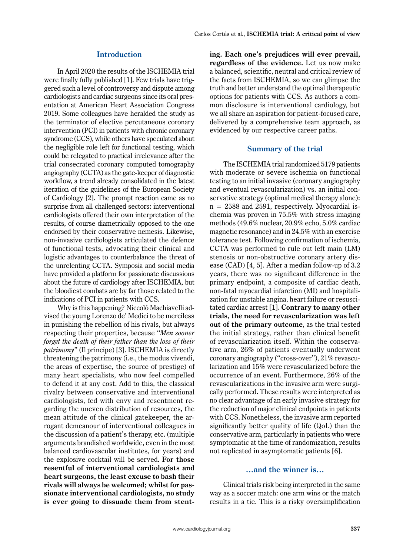#### **Introduction**

In April 2020 the results of the ISCHEMIA trial were finally fully published [1]. Few trials have triggered such a level of controversy and dispute among cardiologists and cardiac surgeons since its oral presentation at American Heart Association Congress 2019. Some colleagues have heralded the study as the terminator of elective percutaneous coronary intervention (PCI) in patients with chronic coronary syndrome (CCS), while others have speculated about the negligible role left for functional testing, which could be relegated to practical irrelevance after the trial consecrated coronary computed tomography angiography (CCTA) as the gate-keeper of diagnostic workflow, a trend already consolidated in the latest iteration of the guidelines of the European Society of Cardiology [2]. The prompt reaction came as no surprise from all challenged sectors: interventional cardiologists offered their own interpretation of the results, of course diametrically opposed to the one endorsed by their conservative nemesis. Likewise, non-invasive cardiologists articulated the defence of functional tests, advocating their clinical and logistic advantages to counterbalance the threat of the unrelenting CCTA. Symposia and social media have provided a platform for passionate discussions about the future of cardiology after ISCHEMIA, but the bloodiest combats are by far those related to the indications of PCI in patients with CCS.

Why is this happening? Niccolò Machiavelli advised the young Lorenzo de' Medici to be merciless in punishing the rebellion of his rivals, but always respecting their properties, because "*Men sooner forget the death of their father than the loss of their patrimony*" (Il principe) [3]. ISCHEMIA is directly threatening the patrimony (i.e., the modus vivendi, the areas of expertise, the source of prestige) of many heart specialists, who now feel compelled to defend it at any cost. Add to this, the classical rivalry between conservative and interventional cardiologists, fed with envy and resentment regarding the uneven distribution of resources, the mean attitude of the clinical gatekeeper, the arrogant demeanour of interventional colleagues in the discussion of a patient's therapy, etc. (multiple arguments brandished worldwide, even in the most balanced cardiovascular institutes, for years) and the explosive cocktail will be served. **For those resentful of interventional cardiologists and heart surgeons, the least excuse to bash their rivals will always be welcomed; whilst for passionate interventional cardiologists, no study is ever going to dissuade them from stent-** **ing. Each one's prejudices will ever prevail, regardless of the evidence.** Let us now make a balanced, scientific, neutral and critical review of the facts from ISCHEMIA, so we can glimpse the truth and better understand the optimal therapeutic options for patients with CCS. As authors a common disclosure is interventional cardiology, but we all share an aspiration for patient-focused care, delivered by a comprehensive team approach, as evidenced by our respective career paths.

#### **Summary of the trial**

The ISCHEMIA trial randomized 5179 patients with moderate or severe ischemia on functional testing to an initial invasive (coronary angiography and eventual revascularization) vs. an initial conservative strategy (optimal medical therapy alone):  $n = 2588$  and 2591, respectively. Myocardial ischemia was proven in 75.5% with stress imaging methods (49.6% nuclear, 20.9% echo, 5.0% cardiac magnetic resonance) and in 24.5% with an exercise tolerance test. Following confirmation of ischemia, CCTA was performed to rule out left main (LM) stenosis or non-obstructive coronary artery disease (CAD) [4, 5]. After a median follow-up of 3.2 years, there was no significant difference in the primary endpoint, a composite of cardiac death, non-fatal myocardial infarction (MI) and hospitalization for unstable angina, heart failure or resuscitated cardiac arrest [1]. **Contrary to many other trials, the need for revascularization was left out of the primary outcome**, as the trial tested the initial strategy, rather than clinical benefit of revascularization itself. Within the conservative arm, 26% of patients eventually underwent coronary angiography ("cross-over"), 21% revascularization and 15% were revascularized before the occurrence of an event. Furthermore, 26% of the revascularizations in the invasive arm were surgically performed. These results were interpreted as no clear advantage of an early invasive strategy for the reduction of major clinical endpoints in patients with CCS. Nonetheless, the invasive arm reported significantly better quality of life (QoL) than the conservative arm, particularly in patients who were symptomatic at the time of randomization, results not replicated in asymptomatic patients [6].

#### **…and the winner is…**

Clinical trials risk being interpreted in the same way as a soccer match: one arm wins or the match results in a tie. This is a risky oversimplification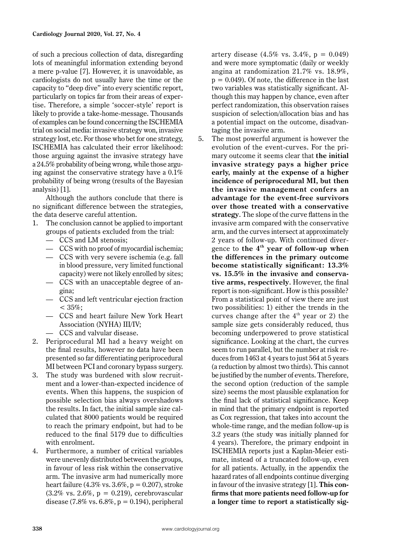of such a precious collection of data, disregarding lots of meaningful information extending beyond a mere p-value [7]. However, it is unavoidable, as cardiologists do not usually have the time or the capacity to "deep dive" into every scientific report, particularly on topics far from their areas of expertise. Therefore, a simple 'soccer-style' report is likely to provide a take-home-message. Thousands of examples can be found concerning the ISCHEMIA trial on social media: invasive strategy won, invasive strategy lost, etc. For those who bet for one strategy, ISCHEMIA has calculated their error likelihood: those arguing against the invasive strategy have a 24.5% probability of being wrong, while those arguing against the conservative strategy have a 0.1% probability of being wrong (results of the Bayesian analysis) [1].

Although the authors conclude that there is no significant difference between the strategies, the data deserve careful attention.

- 1. The conclusion cannot be applied to important groups of patients excluded from the trial:
	- CCS and LM stenosis;
	- CCS with no proof of myocardial ischemia;
	- CCS with very severe ischemia (e.g. fall in blood pressure, very limited functional capacity) were not likely enrolled by sites;
	- CCS with an unacceptable degree of angina;
	- CCS and left ventricular ejection fraction  $< 35\%;$
	- CCS and heart failure New York Heart Association (NYHA) III/IV;
	- CCS and valvular disease.
- 2. Periprocedural MI had a heavy weight on the final results, however no data have been presented so far differentiating periprocedural MI between PCI and coronary bypass surgery.
- 3. The study was burdened with slow recruitment and a lower-than-expected incidence of events. When this happens, the suspicion of possible selection bias always overshadows the results. In fact, the initial sample size calculated that 8000 patients would be required to reach the primary endpoint, but had to be reduced to the final 5179 due to difficulties with enrolment.
- 4. Furthermore, a number of critical variables were unevenly distributed between the groups, in favour of less risk within the conservative arm. The invasive arm had numerically more heart failure (4.3% vs.  $3.6\%$ , p = 0.207), stroke  $(3.2\% \text{ vs. } 2.6\%, \text{ p} = 0.219)$ , cerebrovascular disease (7.8% vs.  $6.8\%$ , p = 0.194), peripheral

artery disease  $(4.5\% \text{ vs. } 3.4\%, \text{ p} = 0.049)$ and were more symptomatic (daily or weekly angina at randomization 21.7% vs. 18.9%,  $p = 0.049$ . Of note, the difference in the last two variables was statistically significant. Although this may happen by chance, even after perfect randomization, this observation raises suspicion of selection/allocation bias and has a potential impact on the outcome, disadvantaging the invasive arm.

5. The most powerful argument is however the evolution of the event-curves. For the primary outcome it seems clear that **the initial invasive strategy pays a higher price early, mainly at the expense of a higher incidence of periprocedural MI, but then the invasive management confers an advantage for the event-free survivors over those treated with a conservative strategy**. The slope of the curve flattens in the invasive arm compared with the conservative arm, and the curves intersect at approximately 2 years of follow-up. With continued divergence to **the 4th year of follow-up when the differences in the primary outcome become statistically significant: 13.3% vs. 15.5% in the invasive and conservative arms, respectively**. However, the final report is non-significant. How is this possible? From a statistical point of view there are just two possibilities: 1) either the trends in the curves change after the  $4<sup>th</sup>$  year or 2) the sample size gets considerably reduced, thus becoming underpowered to prove statistical significance. Looking at the chart, the curves seem to run parallel, but the number at risk reduces from 1463 at 4 years to just 564 at 5 years (a reduction by almost two thirds). This cannot be justified by the number of events. Therefore, the second option (reduction of the sample size) seems the most plausible explanation for the final lack of statistical significance. Keep in mind that the primary endpoint is reported as Cox regression, that takes into account the whole-time range, and the median follow-up is 3.2 years (the study was initially planned for 4 years). Therefore, the primary endpoint in ISCHEMIA reports just a Kaplan-Meier estimate, instead of a truncated follow-up, even for all patients. Actually, in the appendix the hazard rates of all endpoints continue diverging in favour of the invasive strategy [1]. **This confirms that more patients need follow-up for a longer time to report a statistically sig-**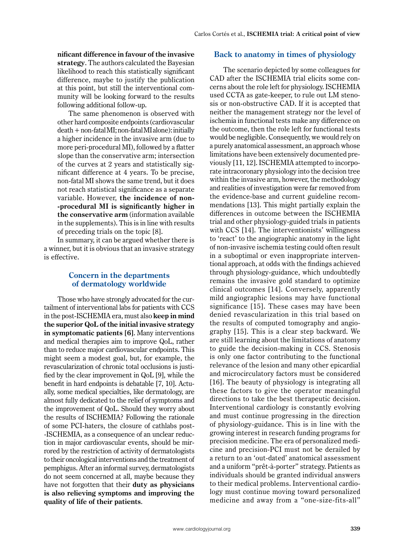**nificant difference in favour of the invasive strategy**. The authors calculated the Bayesian likelihood to reach this statistically significant difference, maybe to justify the publication at this point, but still the interventional community will be looking forward to the results following additional follow-up.

The same phenomenon is observed with other hard composite endpoints (cardiovascular death + non-fatal MI; non-fatal MI alone): initially a higher incidence in the invasive arm (due to more peri-procedural MI), followed by a flatter slope than the conservative arm; intersection of the curves at 2 years and statistically significant difference at 4 years. To be precise, non-fatal MI shows the same trend, but it does not reach statistical significance as a separate variable. However, **the incidence of non- -procedural MI is significantly higher in the conservative arm** (information available in the supplements). This is in line with results of preceding trials on the topic [8].

In summary, it can be argued whether there is a winner, but it is obvious that an invasive strategy is effective.

# **Concern in the departments of dermatology worldwide**

Those who have strongly advocated for the curtailment of interventional labs for patients with CCS in the post-ISCHEMIA era, must also **keep in mind the superior QoL of the initial invasive strategy in symptomatic patients [6]**. Many interventions and medical therapies aim to improve QoL, rather than to reduce major cardiovascular endpoints. This might seem a modest goal, but, for example, the revascularization of chronic total occlusions is justified by the clear improvement in QoL [9], while the benefit in hard endpoints is debatable [7, 10]. Actually, some medical specialties, like dermatology, are almost fully dedicated to the relief of symptoms and the improvement of QoL. Should they worry about the results of ISCHEMIA? Following the rationale of some PCI-haters, the closure of cathlabs post- -ISCHEMIA, as a consequence of an unclear reduction in major cardiovascular events, should be mirrored by the restriction of activity of dermatologists to their oncological interventions and the treatment of pemphigus. After an informal survey, dermatologists do not seem concerned at all, maybe because they have not forgotten that their **duty as physicians is also relieving symptoms and improving the quality of life of their patients**.

# **Back to anatomy in times of physiology**

The scenario depicted by some colleagues for CAD after the ISCHEMIA trial elicits some concerns about the role left for physiology. ISCHEMIA used CCTA as gate-keeper, to rule out LM stenosis or non-obstructive CAD. If it is accepted that neither the management strategy nor the level of ischemia in functional tests make any difference on the outcome, then the role left for functional tests would be negligible. Consequently, we would rely on a purely anatomical assessment, an approach whose limitations have been extensively documented previously [11, 12]. ISCHEMIA attempted to incorporate intracoronary physiology into the decision tree within the invasive arm, however, the methodology and realities of investigation were far removed from the evidence-base and current guideline recommendations [13]. This might partially explain the differences in outcome between the ISCHEMIA trial and other physiology-guided trials in patients with CCS [14]. The interventionists' willingness to 'react' to the angiographic anatomy in the light of non-invasive ischemia testing could often result in a suboptimal or even inappropriate interventional approach, at odds with the findings achieved through physiology-guidance, which undoubtedly remains the invasive gold standard to optimize clinical outcomes [14]. Conversely, apparently mild angiographic lesions may have functional significance [15]. These cases may have been denied revascularization in this trial based on the results of computed tomography and angiography [15]. This is a clear step backward. We are still learning about the limitations of anatomy to guide the decision-making in CCS. Stenosis is only one factor contributing to the functional relevance of the lesion and many other epicardial and microcirculatory factors must be considered [16]. The beauty of physiology is integrating all these factors to give the operator meaningful directions to take the best therapeutic decision. Interventional cardiology is constantly evolving and must continue progressing in the direction of physiology-guidance. This is in line with the growing interest in research funding programs for precision medicine. The era of personalized medicine and precision-PCI must not be derailed by a return to an 'out-dated' anatomical assessment and a uniform "prêt-à-porter" strategy. Patients as individuals should be granted individual answers to their medical problems. Interventional cardiology must continue moving toward personalized medicine and away from a "one-size-fits-all"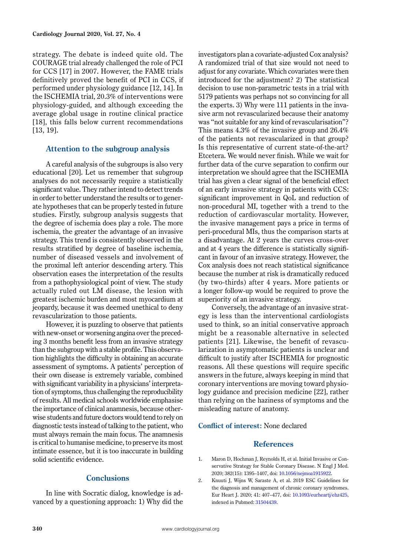strategy. The debate is indeed quite old. The COURAGE trial already challenged the role of PCI for CCS [17] in 2007. However, the FAME trials definitively proved the benefit of PCI in CCS, if performed under physiology guidance [12, 14]. In the ISCHEMIA trial, 20.3% of interventions were physiology-guided, and although exceeding the average global usage in routine clinical practice [18], this falls below current recommendations [13, 19].

### **Attention to the subgroup analysis**

A careful analysis of the subgroups is also very educational [20]. Let us remember that subgroup analyses do not necessarily require a statistically significant value. They rather intend to detect trends in order to better understand the results or to generate hypotheses that can be properly tested in future studies. Firstly, subgroup analysis suggests that the degree of ischemia does play a role. The more ischemia, the greater the advantage of an invasive strategy. This trend is consistently observed in the results stratified by degree of baseline ischemia, number of diseased vessels and involvement of the proximal left anterior descending artery. This observation eases the interpretation of the results from a pathophysiological point of view. The study actually ruled out LM disease, the lesion with greatest ischemic burden and most myocardium at jeopardy, because it was deemed unethical to deny revascularization to those patients.

However, it is puzzling to observe that patients with new-onset or worsening angina over the preceding 3 months benefit less from an invasive strategy than the subgroup with a stable profile. This observation highlights the difficulty in obtaining an accurate assessment of symptoms. A patients' perception of their own disease is extremely variable, combined with significant variability in a physicians' interpretation of symptoms, thus challenging the reproducibility of results. All medical schools worldwide emphasise the importance of clinical anamnesis, because otherwise students and future doctors would tend to rely on diagnostic tests instead of talking to the patient, who must always remain the main focus. The anamnesis is critical to humanise medicine, to preserve its most intimate essence, but it is too inaccurate in building solid scientific evidence.

# **Conclusions**

In line with Socratic dialog, knowledge is advanced by a questioning approach: 1) Why did the investigators plan a covariate-adjusted Cox analysis? A randomized trial of that size would not need to adjust for any covariate. Which covariates were then introduced for the adjustment? 2) The statistical decision to use non-parametric tests in a trial with 5179 patients was perhaps not so convincing for all the experts. 3) Why were 111 patients in the invasive arm not revascularized because their anatomy was "not suitable for any kind of revascularisation"? This means 4.3% of the invasive group and 26.4% of the patients not revascularized in that group? Is this representative of current state-of-the-art? Etcetera. We would never finish. While we wait for further data of the curve separation to confirm our interpretation we should agree that the ISCHEMIA trial has given a clear signal of the beneficial effect of an early invasive strategy in patients with CCS: significant improvement in QoL and reduction of non-procedural MI, together with a trend to the reduction of cardiovascular mortality. However, the invasive management pays a price in terms of peri-procedural MIs, thus the comparison starts at a disadvantage. At 2 years the curves cross-over and at 4 years the difference is statistically significant in favour of an invasive strategy. However, the Cox analysis does not reach statistical significance because the number at risk is dramatically reduced (by two-thirds) after 4 years. More patients or a longer follow-up would be required to prove the superiority of an invasive strategy.

Conversely, the advantage of an invasive strategy is less than the interventional cardiologists used to think, so an initial conservative approach might be a reasonable alternative in selected patients [21]. Likewise, the benefit of revascularization in asymptomatic patients is unclear and difficult to justify after ISCHEMIA for prognostic reasons. All these questions will require specific answers in the future, always keeping in mind that coronary interventions are moving toward physiology guidance and precision medicine [22], rather than relying on the haziness of symptoms and the misleading nature of anatomy.

# **Conflict of interest:** None declared

#### **References**

- 1. Maron D, Hochman J, Reynolds H, et al. Initial Invasive or Conservative Strategy for Stable Coronary Disease. N Engl J Med. 2020; 382(15): 1395–1407, doi: [10.1056/nejmoa1915922.](http://dx.doi.org/10.1056/nejmoa1915922)
- 2. Knuuti J, Wijns W, Saraste A, et al. 2019 ESC Guidelines for the diagnosis and management of chronic coronary syndromes. Eur Heart J. 2020; 41: 407–477, doi: [10.1093/eurheartj/ehz425,](http://dx.doi.org/10.1093/eurheartj/ehz425) indexed in Pubmed: [31504439.](https://www.ncbi.nlm.nih.gov/pubmed/31504439)